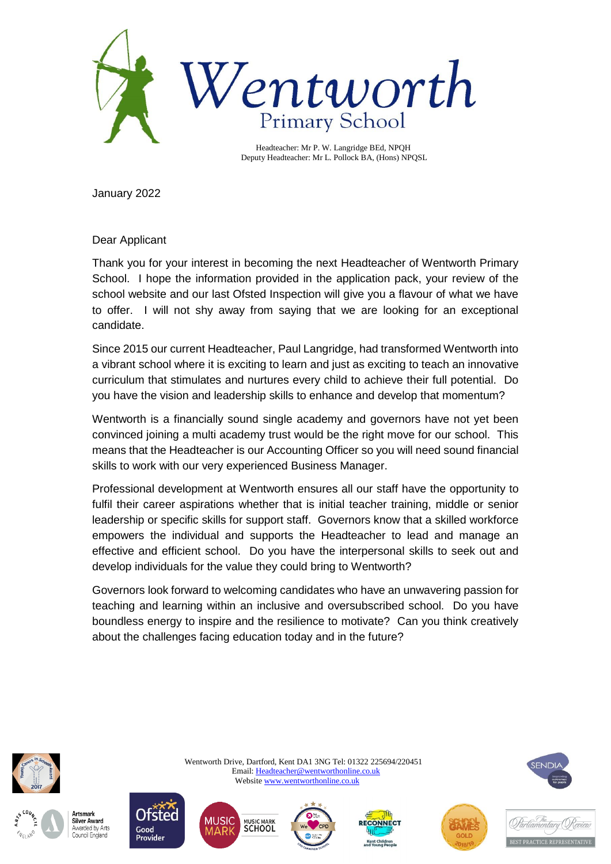

 Headteacher: Mr P. W. Langridge BEd, NPQH Deputy Headteacher: Mr L. Pollock BA, (Hons) NPQSL

January 2022

Dear Applicant

Thank you for your interest in becoming the next Headteacher of Wentworth Primary School. I hope the information provided in the application pack, your review of the school website and our last Ofsted Inspection will give you a flavour of what we have to offer. I will not shy away from saying that we are looking for an exceptional candidate.

Since 2015 our current Headteacher, Paul Langridge, had transformed Wentworth into a vibrant school where it is exciting to learn and just as exciting to teach an innovative curriculum that stimulates and nurtures every child to achieve their full potential. Do you have the vision and leadership skills to enhance and develop that momentum?

Wentworth is a financially sound single academy and governors have not yet been convinced joining a multi academy trust would be the right move for our school. This means that the Headteacher is our Accounting Officer so you will need sound financial skills to work with our very experienced Business Manager.

Professional development at Wentworth ensures all our staff have the opportunity to fulfil their career aspirations whether that is initial teacher training, middle or senior leadership or specific skills for support staff. Governors know that a skilled workforce empowers the individual and supports the Headteacher to lead and manage an effective and efficient school. Do you have the interpersonal skills to seek out and develop individuals for the value they could bring to Wentworth?

Governors look forward to welcoming candidates who have an unwavering passion for teaching and learning within an inclusive and oversubscribed school. Do you have boundless energy to inspire and the resilience to motivate? Can you think creatively about the challenges facing education today and in the future?







j





 Wentworth Drive, Dartford, Kent DA1 3NG Tel: 01322 225694/220451 Email[: Headteacher@wentworthonline.co.uk](mailto:Headteacher@wentworthonline.co.uk) Websit[e www.wentworthonline.co.uk](http://www.wentworthonline.co.uk/) 







SENDIA